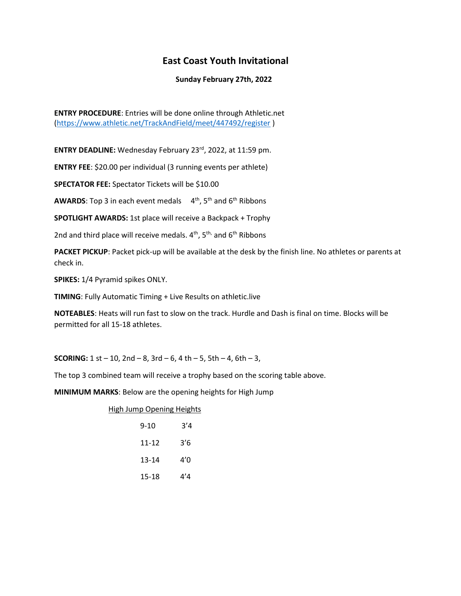## **East Coast Youth Invitational**

### **Sunday February 27th, 2022**

**ENTRY PROCEDURE**: Entries will be done online through Athletic.net [\(https://www.athletic.net/TrackAndField/meet/447492/register](https://www.athletic.net/TrackAndField/meet/447492/register) )

**ENTRY DEADLINE:** Wednesday February 23rd , 2022, at 11:59 pm.

**ENTRY FEE**: \$20.00 per individual (3 running events per athlete)

**SPECTATOR FEE:** Spectator Tickets will be \$10.00

**AWARDS**: Top 3 in each event medals 4<sup>th</sup>, 5<sup>th</sup> and 6<sup>th</sup> Ribbons

**SPOTLIGHT AWARDS:** 1st place will receive a Backpack + Trophy

2nd and third place will receive medals.  $4^{\text{th}}$ ,  $5^{\text{th}}$ , and  $6^{\text{th}}$  Ribbons

**PACKET PICKUP**: Packet pick-up will be available at the desk by the finish line. No athletes or parents at check in.

**SPIKES:** 1/4 Pyramid spikes ONLY.

**TIMING**: Fully Automatic Timing + Live Results on athletic.live

**NOTEABLES**: Heats will run fast to slow on the track. Hurdle and Dash is final on time. Blocks will be permitted for all 15-18 athletes.

**SCORING:** 1 st – 10, 2nd – 8, 3rd – 6, 4 th – 5, 5th – 4, 6th – 3,

The top 3 combined team will receive a trophy based on the scoring table above.

**MINIMUM MARKS**: Below are the opening heights for High Jump

High Jump Opening Heights

| $9 - 10$  | 3'4 |
|-----------|-----|
| $11 - 12$ | 3'6 |
| $13 - 14$ | 4'0 |
| 15-18     | 44  |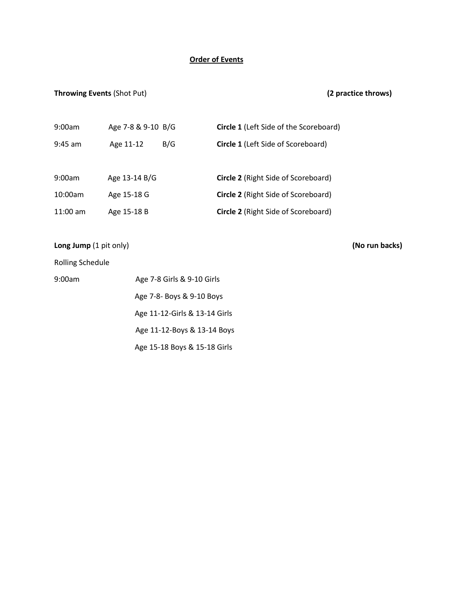### **Order of Events**

## **Throwing Events** (Shot Put) **(2 practice throws)**

| 9:00am   | Age 7-8 & 9-10 B/G |     | <b>Circle 1</b> (Left Side of the Scoreboard) |
|----------|--------------------|-----|-----------------------------------------------|
| 9:45 am  | Age 11-12          | B/G | <b>Circle 1 (Left Side of Scoreboard)</b>     |
|          |                    |     |                                               |
| 9:00am   | Age 13-14 B/G      |     | Circle 2 (Right Side of Scoreboard)           |
| 10:00am  | Age 15-18 G        |     | <b>Circle 2</b> (Right Side of Scoreboard)    |
| 11:00 am | Age 15-18 B        |     | Circle 2 (Right Side of Scoreboard)           |

**Long Jump** (1 pit only) **(No run backs)** 

Rolling Schedule

| 9:00am | Age 7-8 Girls & 9-10 Girls    |
|--------|-------------------------------|
|        | Age 7-8- Boys & 9-10 Boys     |
|        | Age 11-12-Girls & 13-14 Girls |
|        | Age 11-12-Boys & 13-14 Boys   |
|        | Age 15-18 Boys & 15-18 Girls  |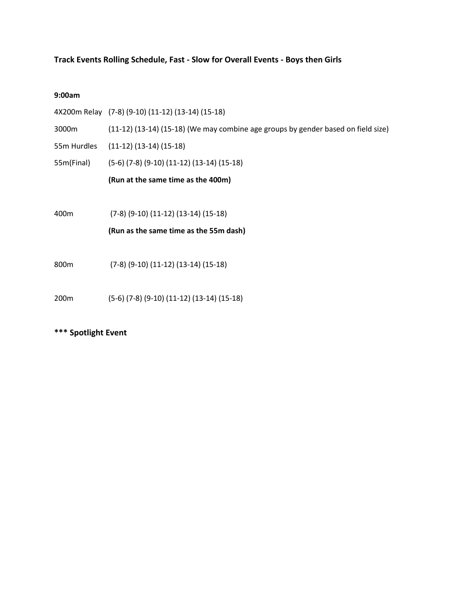## **Track Events Rolling Schedule, Fast - Slow for Overall Events - Boys then Girls**

| 9:00am           |                                                                                   |
|------------------|-----------------------------------------------------------------------------------|
|                  | 4X200m Relay (7-8) (9-10) (11-12) (13-14) (15-18)                                 |
| 3000m            | (11-12) (13-14) (15-18) (We may combine age groups by gender based on field size) |
| 55m Hurdles      | $(11-12)$ $(13-14)$ $(15-18)$                                                     |
| 55m(Final)       | $(5-6)$ $(7-8)$ $(9-10)$ $(11-12)$ $(13-14)$ $(15-18)$                            |
|                  | (Run at the same time as the 400m)                                                |
|                  |                                                                                   |
| 400 <sub>m</sub> | $(7-8)$ $(9-10)$ $(11-12)$ $(13-14)$ $(15-18)$                                    |
|                  | (Run as the same time as the 55m dash)                                            |
|                  |                                                                                   |
| 800 <sub>m</sub> | $(7-8)$ $(9-10)$ $(11-12)$ $(13-14)$ $(15-18)$                                    |
|                  |                                                                                   |
| 200 <sub>m</sub> | $(5-6)$ $(7-8)$ $(9-10)$ $(11-12)$ $(13-14)$ $(15-18)$                            |

## **\*\*\* Spotlight Event**